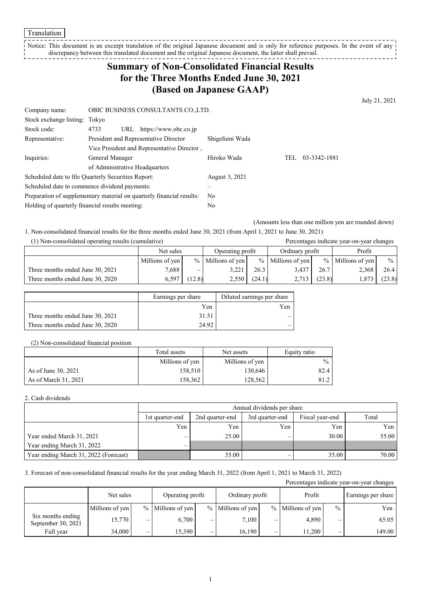Notice: This document is an excerpt translation of the original Japanese document and is only for reference purposes. In the event of any discrepancy between this translated document and the original Japanese document, the latter shall prevail. ------------

# **Summary of Non-Consolidated Financial Results for the Three Months Ended June 30, 2021 (Based on Japanese GAAP)**

July 21, 2021

| Company name:                                                         |                                       | OBIC BUSINESS CONSULTANTS CO., LTD.         |                |     |              |  |  |
|-----------------------------------------------------------------------|---------------------------------------|---------------------------------------------|----------------|-----|--------------|--|--|
| Stock exchange listing: Tokyo                                         |                                       |                                             |                |     |              |  |  |
| Stock code:                                                           | 4733<br>URL                           | https://www.obc.co.jp                       |                |     |              |  |  |
| Representative:                                                       | President and Representative Director |                                             | Shigefumi Wada |     |              |  |  |
|                                                                       |                                       | Vice President and Representative Director, |                |     |              |  |  |
| Inquiries:                                                            | General Manager                       |                                             | Hiroko Wada    | TEL | 03-3342-1881 |  |  |
|                                                                       | of Administrative Headquarters        |                                             |                |     |              |  |  |
| Scheduled date to file Quarterly Securities Report:                   |                                       |                                             | August 3, 2021 |     |              |  |  |
| Scheduled date to commence dividend payments:                         |                                       |                                             |                |     |              |  |  |
| Preparation of supplementary material on quarterly financial results: |                                       | No                                          |                |     |              |  |  |
| Holding of quarterly financial results meeting:                       |                                       | No                                          |                |     |              |  |  |

(Amounts less than one million yen are rounded down)

1. Non-consolidated financial results for the three months ended June 30, 2021 (from April 1, 2021 to June 30, 2021)

| (1) Non-consolidated operating results (cumulative) |                 |                  |                     |                 |                     |        | Percentages indicate year-on-year changes |               |
|-----------------------------------------------------|-----------------|------------------|---------------------|-----------------|---------------------|--------|-------------------------------------------|---------------|
|                                                     | Net sales       | Operating profit |                     | Ordinary profit |                     | Profit |                                           |               |
|                                                     | Millions of yen |                  | $%$ Millions of yen |                 | $%$ Millions of yen |        | $%$ Millions of yen                       | $\frac{0}{0}$ |
| Three months ended June 30, 2021                    | 7,688           |                  | 3.221               | 26.3            | 3.437               | 26.7   | 2,368                                     | 26.4          |
| Three months ended June 30, 2020                    | 6.597           | (12.8)           | 2.550               | (24.1)          | 2,713               | (23.8) | 1,873                                     | (23.8)        |

|                                  | Earnings per share | Diluted earnings per share |
|----------------------------------|--------------------|----------------------------|
|                                  | Yen                | Yen                        |
| Three months ended June 30, 2021 | 31.51              |                            |
| Three months ended June 30, 2020 | 24.92              |                            |

#### (2) Non-consolidated financial position

|                      | Total assets    | Net assets      | Equity ratio  |
|----------------------|-----------------|-----------------|---------------|
|                      | Millions of yen | Millions of yen | $\frac{0}{0}$ |
| As of June 30, 2021  | 158,510         | 130.646         | 82.4          |
| As of March 31, 2021 | 158.362         | 128.562         | 81.2          |

2. Cash dividends

|                                       | Annual dividends per share                                                        |       |     |       |       |  |  |  |  |
|---------------------------------------|-----------------------------------------------------------------------------------|-------|-----|-------|-------|--|--|--|--|
|                                       | Total<br>3rd quarter-end<br>Fiscal year-end<br>2nd quarter-end<br>1st quarter-end |       |     |       |       |  |  |  |  |
|                                       | Yen                                                                               | Yen   | Yen | Yen   | Yen   |  |  |  |  |
| Year ended March 31, 2021             | —                                                                                 | 25.00 | –   | 30.00 | 55.00 |  |  |  |  |
| Year ending March 31, 2022            | $\overline{\phantom{0}}$                                                          |       |     |       |       |  |  |  |  |
| Year ending March 31, 2022 (Forecast) |                                                                                   | 35.00 |     | 35.00 | 70.00 |  |  |  |  |

#### 3. Forecast of non-consolidated financial results for the year ending March 31, 2022 (from April 1, 2021 to March 31, 2022)

| Percentages indicate year-on-year changes |                               |                          |                   |                          |                     |                          |                     |               |                    |
|-------------------------------------------|-------------------------------|--------------------------|-------------------|--------------------------|---------------------|--------------------------|---------------------|---------------|--------------------|
|                                           | Operating profit<br>Net sales |                          |                   |                          | Ordinary profit     |                          | Profit              |               | Earnings per share |
|                                           | Millions of yen               |                          | % Millions of yen |                          | $%$ Millions of yen |                          | $%$ Millions of yen | $\frac{0}{0}$ | Yen                |
| Six months ending<br>September 30, 2021   | 15,770                        | —                        | 6.700             | -                        | 7,100               | $\overline{\phantom{0}}$ | 4,890               | –             | 65.05              |
| Full year                                 | 34,000                        | $\overline{\phantom{0}}$ | 15,390            | $\overline{\phantom{0}}$ | 16.190              | -                        | 11.200              | —             | 149.00             |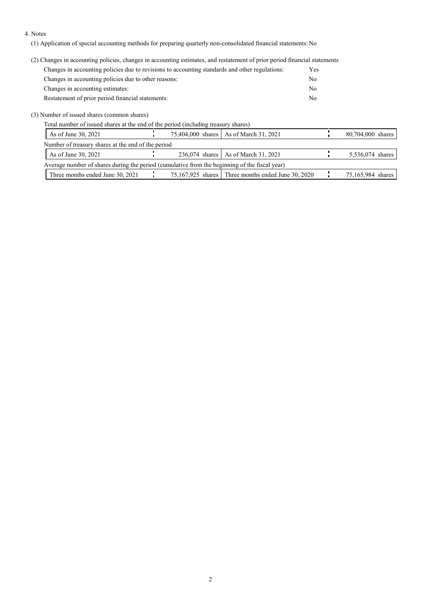#### 4. Notes

(1) Application of special accounting methods for preparing quarterly non-consolidated financial statements: No

### (2) Changes in accounting policies, changes in accounting estimates, and restatement of prior period financial statements

| Changes in accounting policies due to revisions to accounting standards and other regulations: | Yes |
|------------------------------------------------------------------------------------------------|-----|
| Changes in accounting policies due to other reasons:                                           | No  |
| Changes in accounting estimates:                                                               | No  |
| Restatement of prior period financial statements:                                              | No  |

#### (3) Number of issued shares (common shares)

Total number of issued shares at the end of the period (including treasury shares)

| As of June 30, 2021                                                                           |  |  | 75,404,000 shares   As of March 31, 2021             |  | 80,704,000 shares |
|-----------------------------------------------------------------------------------------------|--|--|------------------------------------------------------|--|-------------------|
| Number of treasury shares at the end of the period                                            |  |  |                                                      |  |                   |
| As of June 30, 2021                                                                           |  |  | 236,074 shares   As of March 31, 2021                |  | 5,536,074 shares  |
| Average number of shares during the period (cumulative from the beginning of the fiscal year) |  |  |                                                      |  |                   |
| Three months ended June 30, 2021                                                              |  |  | $75,167,925$ shares Three months ended June 30, 2020 |  | 75,165,984 shares |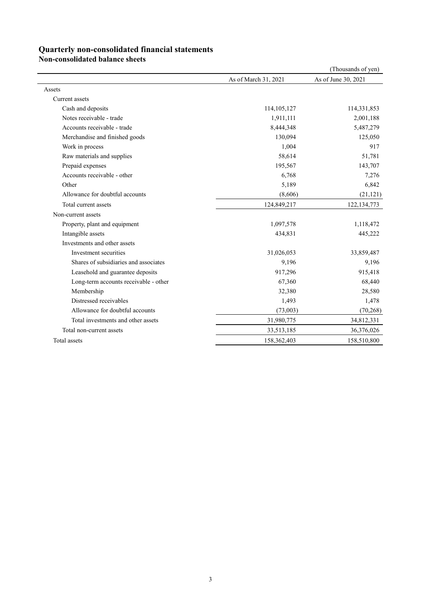## **Quarterly non-consolidated financial statements**

**Non-consolidated balance sheets**

|                                       |                      | (Thousands of yen)  |
|---------------------------------------|----------------------|---------------------|
|                                       | As of March 31, 2021 | As of June 30, 2021 |
| Assets                                |                      |                     |
| Current assets                        |                      |                     |
| Cash and deposits                     | 114,105,127          | 114,331,853         |
| Notes receivable - trade              | 1,911,111            | 2,001,188           |
| Accounts receivable - trade           | 8,444,348            | 5,487,279           |
| Merchandise and finished goods        | 130,094              | 125,050             |
| Work in process                       | 1,004                | 917                 |
| Raw materials and supplies            | 58,614               | 51,781              |
| Prepaid expenses                      | 195,567              | 143,707             |
| Accounts receivable - other           | 6,768                | 7,276               |
| Other                                 | 5,189                | 6,842               |
| Allowance for doubtful accounts       | (8,606)              | (21, 121)           |
| Total current assets                  | 124,849,217          | 122, 134, 773       |
| Non-current assets                    |                      |                     |
| Property, plant and equipment         | 1,097,578            | 1,118,472           |
| Intangible assets                     | 434,831              | 445,222             |
| Investments and other assets          |                      |                     |
| Investment securities                 | 31,026,053           | 33,859,487          |
| Shares of subsidiaries and associates | 9,196                | 9,196               |
| Leasehold and guarantee deposits      | 917,296              | 915,418             |
| Long-term accounts receivable - other | 67,360               | 68,440              |
| Membership                            | 32,380               | 28,580              |
| Distressed receivables                | 1,493                | 1,478               |
| Allowance for doubtful accounts       | (73,003)             | (70, 268)           |
| Total investments and other assets    | 31,980,775           | 34,812,331          |
| Total non-current assets              | 33,513,185           | 36,376,026          |
| Total assets                          | 158,362,403          | 158,510,800         |
|                                       |                      |                     |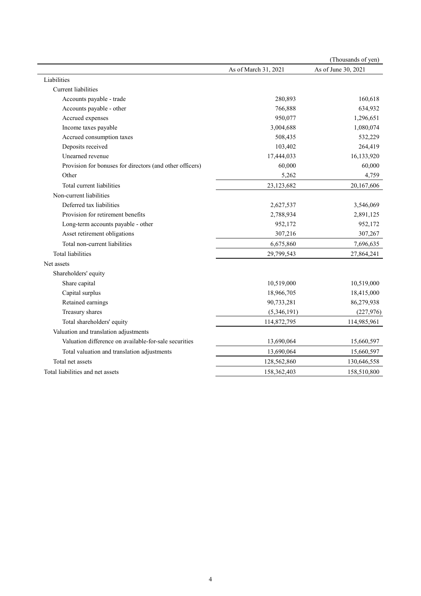|                                                          |                      | (Thousands of yen)  |
|----------------------------------------------------------|----------------------|---------------------|
|                                                          | As of March 31, 2021 | As of June 30, 2021 |
| Liabilities                                              |                      |                     |
| Current liabilities                                      |                      |                     |
| Accounts payable - trade                                 | 280,893              | 160,618             |
| Accounts payable - other                                 | 766,888              | 634,932             |
| Accrued expenses                                         | 950,077              | 1,296,651           |
| Income taxes payable                                     | 3,004,688            | 1,080,074           |
| Accrued consumption taxes                                | 508,435              | 532,229             |
| Deposits received                                        | 103,402              | 264,419             |
| Unearned revenue                                         | 17,444,033           | 16,133,920          |
| Provision for bonuses for directors (and other officers) | 60,000               | 60,000              |
| Other                                                    | 5,262                | 4,759               |
| Total current liabilities                                | 23,123,682           | 20,167,606          |
| Non-current liabilities                                  |                      |                     |
| Deferred tax liabilities                                 | 2,627,537            | 3,546,069           |
| Provision for retirement benefits                        | 2,788,934            | 2,891,125           |
| Long-term accounts payable - other                       | 952,172              | 952,172             |
| Asset retirement obligations                             | 307,216              | 307,267             |
| Total non-current liabilities                            | 6,675,860            | 7,696,635           |
| <b>Total liabilities</b>                                 | 29,799,543           | 27,864,241          |
| Net assets                                               |                      |                     |
| Shareholders' equity                                     |                      |                     |
| Share capital                                            | 10,519,000           | 10,519,000          |
| Capital surplus                                          | 18,966,705           | 18,415,000          |
| Retained earnings                                        | 90,733,281           | 86,279,938          |
| Treasury shares                                          | (5,346,191)          | (227, 976)          |
| Total shareholders' equity                               | 114,872,795          | 114,985,961         |
| Valuation and translation adjustments                    |                      |                     |
| Valuation difference on available-for-sale securities    | 13,690,064           | 15,660,597          |
| Total valuation and translation adjustments              | 13,690,064           | 15,660,597          |
| Total net assets                                         | 128,562,860          | 130,646,558         |
| Total liabilities and net assets                         | 158,362,403          | 158,510,800         |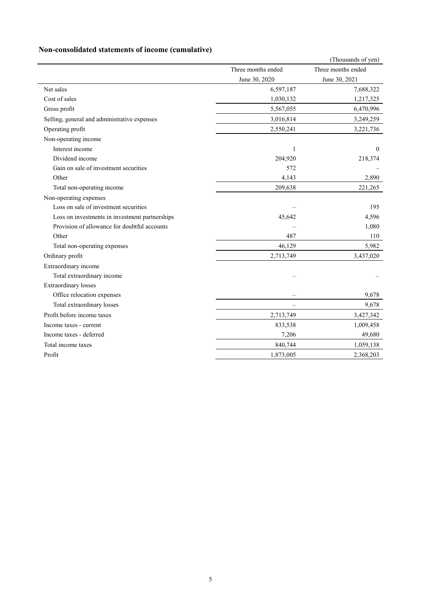# **Non-consolidated statements of income (cumulative)**

|                                                |                          | (Thousands of yen) |
|------------------------------------------------|--------------------------|--------------------|
|                                                | Three months ended       | Three months ended |
|                                                | June 30, 2020            | June 30, 2021      |
| Net sales                                      | 6,597,187                | 7,688,322          |
| Cost of sales                                  | 1,030,132                | 1,217,325          |
| Gross profit                                   | 5,567,055                | 6,470,996          |
| Selling, general and administrative expenses   | 3,016,814                | 3,249,259          |
| Operating profit                               | 2,550,241                | 3,221,736          |
| Non-operating income                           |                          |                    |
| Interest income                                | 1                        | $\theta$           |
| Dividend income                                | 204,920                  | 218,374            |
| Gain on sale of investment securities          | 572                      |                    |
| Other                                          | 4,143                    | 2,890              |
| Total non-operating income                     | 209,638                  | 221,265            |
| Non-operating expenses                         |                          |                    |
| Loss on sale of investment securities          |                          | 195                |
| Loss on investments in investment partnerships | 45,642                   | 4,596              |
| Provision of allowance for doubtful accounts   |                          | 1,080              |
| Other                                          | 487                      | 110                |
| Total non-operating expenses                   | 46,129                   | 5,982              |
| Ordinary profit                                | 2,713,749                | 3,437,020          |
| Extraordinary income                           |                          |                    |
| Total extraordinary income                     |                          |                    |
| <b>Extraordinary losses</b>                    |                          |                    |
| Office relocation expenses                     |                          | 9,678              |
| Total extraordinary losses                     | $\overline{\phantom{0}}$ | 9,678              |
| Profit before income taxes                     | 2,713,749                | 3,427,342          |
| Income taxes - current                         | 833,538                  | 1,009,458          |
| Income taxes - deferred                        | 7,206                    | 49,680             |
| Total income taxes                             | 840,744                  | 1,059,138          |
| Profit                                         | 1,873,005                | 2,368,203          |
|                                                |                          |                    |